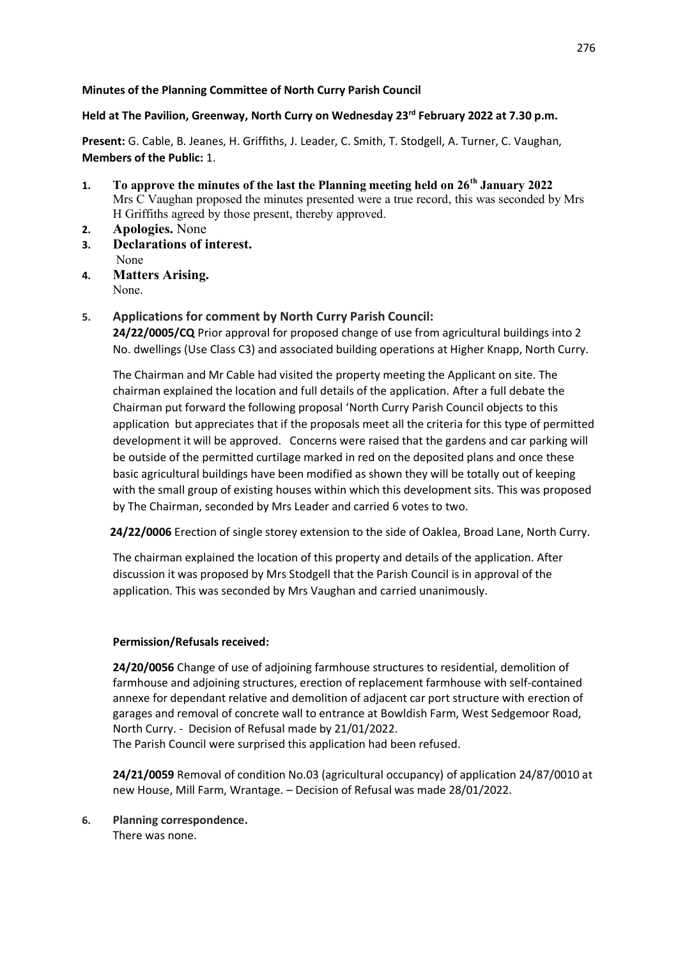## **Minutes of the Planning Committee of North Curry Parish Council**

## **Held at The Pavilion, Greenway, North Curry on Wednesday 23rd February 2022 at 7.30 p.m.**

**Present:** G. Cable, B. Jeanes, H. Griffiths, J. Leader, C. Smith, T. Stodgell, A. Turner, C. Vaughan, **Members of the Public:** 1.

- **1. To approve the minutes of the last the Planning meeting held on 26th January 2022** Mrs C Vaughan proposed the minutes presented were a true record, this was seconded by Mrs H Griffiths agreed by those present, thereby approved.
- **2. Apologies.** None
- **3. Declarations of interest.** None
- **4. Matters Arising.** None.
- **5. Applications for comment by North Curry Parish Council:**

**24/22/0005/CQ** Prior approval for proposed change of use from agricultural buildings into 2 No. dwellings (Use Class C3) and associated building operations at Higher Knapp, North Curry.

The Chairman and Mr Cable had visited the property meeting the Applicant on site. The chairman explained the location and full details of the application. After a full debate the Chairman put forward the following proposal 'North Curry Parish Council objects to this application but appreciates that if the proposals meet all the criteria for this type of permitted development it will be approved. Concerns were raised that the gardens and car parking will be outside of the permitted curtilage marked in red on the deposited plans and once these basic agricultural buildings have been modified as shown they will be totally out of keeping with the small group of existing houses within which this development sits. This was proposed by The Chairman, seconded by Mrs Leader and carried 6 votes to two.

**24/22/0006** Erection of single storey extension to the side of Oaklea, Broad Lane, North Curry.

The chairman explained the location of this property and details of the application. After discussion it was proposed by Mrs Stodgell that the Parish Council is in approval of the application. This was seconded by Mrs Vaughan and carried unanimously.

## **Permission/Refusals received:**

**24/20/0056** Change of use of adjoining farmhouse structures to residential, demolition of farmhouse and adjoining structures, erection of replacement farmhouse with self-contained annexe for dependant relative and demolition of adjacent car port structure with erection of garages and removal of concrete wall to entrance at Bowldish Farm, West Sedgemoor Road, North Curry. - Decision of Refusal made by 21/01/2022. The Parish Council were surprised this application had been refused.

**24/21/0059** Removal of condition No.03 (agricultural occupancy) of application 24/87/0010 at new House, Mill Farm, Wrantage. – Decision of Refusal was made 28/01/2022.

**6. Planning correspondence.** There was none.